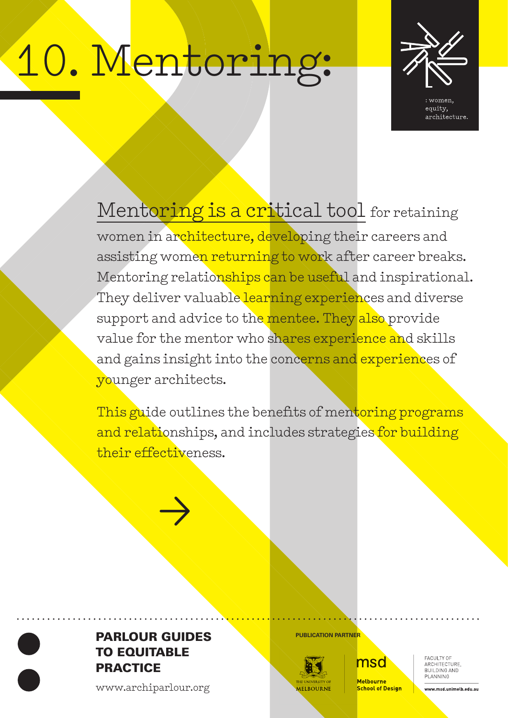# 10. Mentoring:



equity, architecture.

Mentoring is a critical tool for retaining women in architecture, developing their careers and assisting women returning to work after career breaks. Mentoring relationships can be useful and inspirational. They deliver valuable learning experiences and diverse support and advice to the mentee. They also provide value for the mentor who shares experience and skills and gains insight into the concerns and experiences of younger architects.

This guide outlines the benefits of mentoring programs and relationships, and includes strategies for building their effectiveness.



>

www.archiparlour.org



msd

**Melhourne School of Design**  FACULTY OF<br>ARCHITECTURE, BUILDING AND PLANNING

www.msd.unimelb.edu.au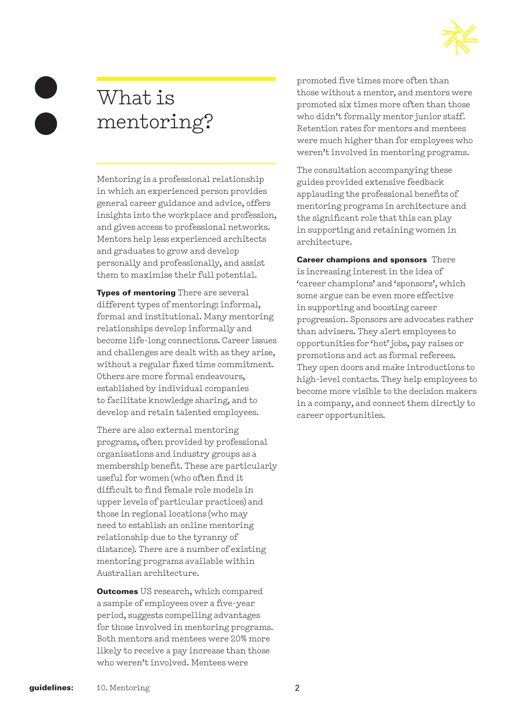

# What is mentoring?

Mentoring is a professional relationship in which an experienced person provides general career guidance and advice, offers insights into the workplace and profession, and gives access to professional networks. Mentors help less experienced architects and graduates to grow and develop personally and professionally, and assist them to maximise their full potential.

**Types of mentoring** There are several different types of mentoring: informal, formal and institutional. Many mentoring relationships develop informally and become life-long connections. Career issues and challenges are dealt with as they arise, without a regular fixed time commitment. Others are more formal endeavours, established by individual companies to facilitate knowledge sharing, and to develop and retain talented employees.

There are also external mentoring programs, often provided by professional organisations and industry groups as a membership benefit. These are particularly useful for women (who often find it difficult to find female role models in upper levels of particular practices) and those in regional locations (who may need to establish an online mentoring relationship due to the tyranny of distance). There are a number of existing mentoring programs available within Australian architecture.

Outcomes US research, which compared a sample of employees over a five-year period, suggests compelling advantages for those involved in mentoring programs. Both mentors and mentees were 20% more likely to receive a pay increase than those who weren't involved. Mentees were

promoted five times more often than those without a mentor, and mentors were promoted six times more often than those who didn't formally mentor junior staff. Retention rates for mentors and mentees were much higher than for employees who weren't involved in mentoring programs.

The consultation accompanying these guides provided extensive feedback applauding the professional benefits of mentoring programs in architecture and the significant role that this can play in supporting and retaining women in architecture.

Career champions and sponsors There is increasing interest in the idea of 'career champions' and 'sponsors', which some argue can be even more effective in supporting and boosting career progression. Sponsors are advocates rather than advisers. They alert employees to opportunities for 'hot' jobs, pay raises or promotions and act as formal referees. They open doors and make introductions to high-level contacts. They help employees to become more visible to the decision makers in a company, and connect them directly to career opportunities.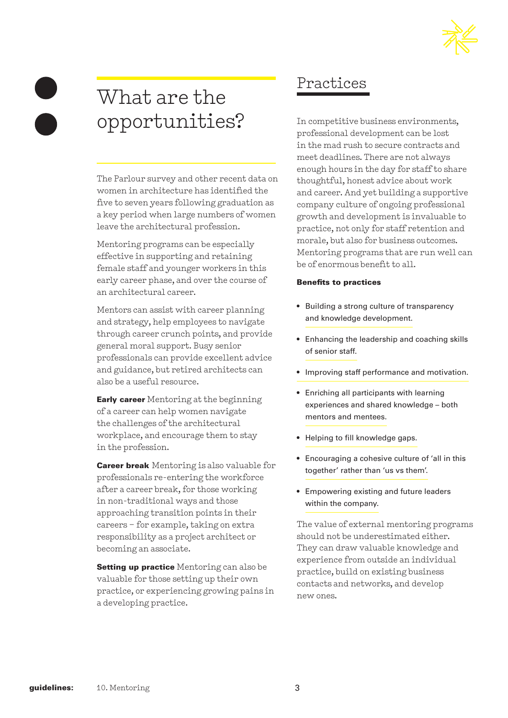

# What are the opportunities?

The Parlour survey and other recent data on women in architecture has identified the five to seven years following graduation as a key period when large numbers of women leave the architectural profession.

Mentoring programs can be especially effective in supporting and retaining female staff and younger workers in this early career phase, and over the course of an architectural career.

Mentors can assist with career planning and strategy, help employees to navigate through career crunch points, and provide general moral support. Busy senior professionals can provide excellent advice and guidance, but retired architects can also be a useful resource.

**Early career** Mentoring at the beginning of a career can help women navigate the challenges of the architectural workplace, and encourage them to stay in the profession.

**Career break** Mentoring is also valuable for professionals re-entering the workforce after a career break, for those working in non-traditional ways and those approaching transition points in their careers – for example, taking on extra responsibility as a project architect or becoming an associate.

**Setting up practice** Mentoring can also be valuable for those setting up their own practice, or experiencing growing pains in a developing practice.

# Practices

In competitive business environments, professional development can be lost in the mad rush to secure contracts and meet deadlines. There are not always enough hours in the day for staff to share thoughtful, honest advice about work and career. And yet building a supportive company culture of ongoing professional growth and development is invaluable to practice, not only for staff retention and morale, but also for business outcomes. Mentoring programs that are run well can be of enormous benefit to all.

#### Benefits to practices

- Building a strong culture of transparency and knowledge development.
- Enhancing the leadership and coaching skills of senior staff.
- Improving staff performance and motivation.
- Enriching all participants with learning experiences and shared knowledge – both mentors and mentees.
- Helping to fill knowledge gaps.
- Encouraging a cohesive culture of 'all in this together' rather than 'us vs them'.
- Empowering existing and future leaders within the company.

The value of external mentoring programs should not be underestimated either. They can draw valuable knowledge and experience from outside an individual practice, build on existing business contacts and networks, and develop new ones.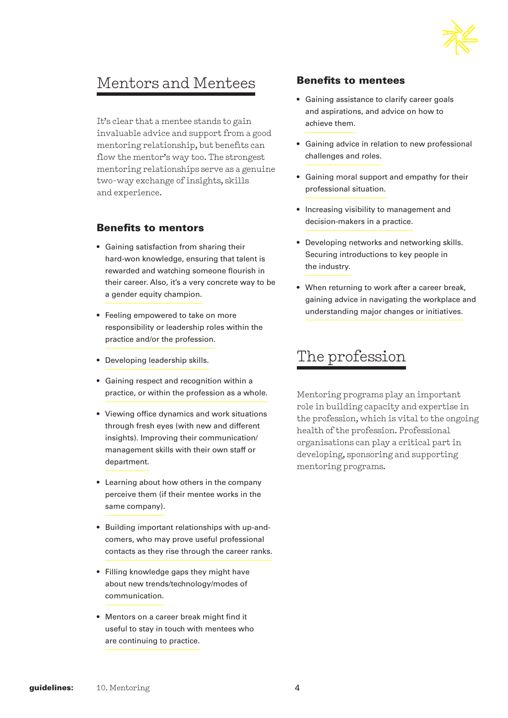

# Mentors and Mentees

It's clear that a mentee stands to gain invaluable advice and support from a good mentoring relationship, but benefits can flow the mentor's way too. The strongest mentoring relationships serve as a genuine two-way exchange of insights, skills and experience.

#### Benefits to mentors

- Gaining satisfaction from sharing their hard-won knowledge, ensuring that talent is rewarded and watching someone flourish in their career. Also, it's a very concrete way to be a gender equity champion.
- Feeling empowered to take on more responsibility or leadership roles within the practice and/or the profession.
- Developing leadership skills.
- Gaining respect and recognition within a practice, or within the profession as a whole.
- Viewing office dynamics and work situations through fresh eyes (with new and different insights). Improving their communication/ management skills with their own staff or department.
- Learning about how others in the company perceive them (if their mentee works in the same company).
- Building important relationships with up-andcomers, who may prove useful professional contacts as they rise through the career ranks.
- Filling knowledge gaps they might have about new trends/technology/modes of communication.
- Mentors on a career break might find it useful to stay in touch with mentees who are continuing to practice.

## Benefits to mentees

- Gaining assistance to clarify career goals and aspirations, and advice on how to achieve them.
- Gaining advice in relation to new professional challenges and roles.
- Gaining moral support and empathy for their professional situation.
- Increasing visibility to management and decision-makers in a practice.
- Developing networks and networking skills. Securing introductions to key people in the industry.
- When returning to work after a career break, gaining advice in navigating the workplace and understanding major changes or initiatives.

# The profession

Mentoring programs play an important role in building capacity and expertise in the profession, which is vital to the ongoing health of the profession. Professional organisations can play a critical part in developing, sponsoring and supporting mentoring programs.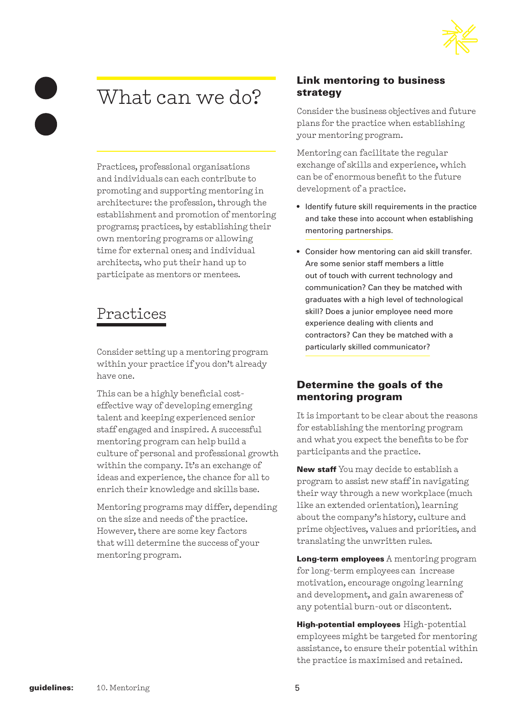

# What can we do?

Practices, professional organisations and individuals can each contribute to promoting and supporting mentoring in architecture: the profession, through the establishment and promotion of mentoring programs; practices, by establishing their own mentoring programs or allowing time for external ones; and individual architects, who put their hand up to participate as mentors or mentees.

# Practices

Consider setting up a mentoring program within your practice if you don't already have one.

This can be a highly beneficial costeffective way of developing emerging talent and keeping experienced senior staff engaged and inspired. A successful mentoring program can help build a culture of personal and professional growth within the company. It's an exchange of ideas and experience, the chance for all to enrich their knowledge and skills base.

Mentoring programs may differ, depending on the size and needs of the practice. However, there are some key factors that will determine the success of your mentoring program.

# Link mentoring to business strategy

Consider the business objectives and future plans for the practice when establishing your mentoring program.

Mentoring can facilitate the regular exchange of skills and experience, which can be of enormous benefit to the future development of a practice.

- Identify future skill requirements in the practice and take these into account when establishing mentoring partnerships.
- Consider how mentoring can aid skill transfer. Are some senior staff members a little out of touch with current technology and communication? Can they be matched with graduates with a high level of technological skill? Does a junior employee need more experience dealing with clients and contractors? Can they be matched with a particularly skilled communicator?

# Determine the goals of the mentoring program

It is important to be clear about the reasons for establishing the mentoring program and what you expect the benefits to be for participants and the practice.

New staff You may decide to establish a program to assist new staff in navigating their way through a new workplace (much like an extended orientation), learning about the company's history, culture and prime objectives, values and priorities, and translating the unwritten rules.

Long-term employees A mentoring program for long-term employees can increase motivation, encourage ongoing learning and development, and gain awareness of any potential burn-out or discontent.

High-potential employees High-potential employees might be targeted for mentoring assistance, to ensure their potential within the practice is maximised and retained.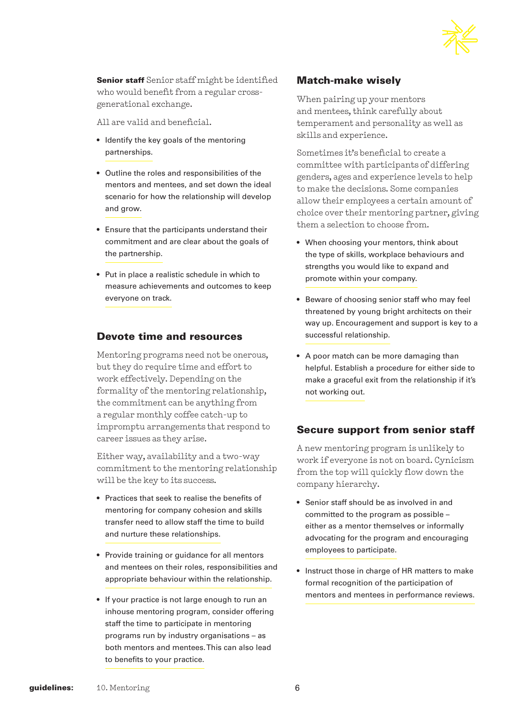

**Senior staff** Senior staff might be identified who would benefit from a regular crossgenerational exchange.

All are valid and beneficial.

- Identify the key goals of the mentoring partnerships.
- Outline the roles and responsibilities of the mentors and mentees, and set down the ideal scenario for how the relationship will develop and grow.
- Ensure that the participants understand their commitment and are clear about the goals of the partnership.
- Put in place a realistic schedule in which to measure achievements and outcomes to keep everyone on track.

#### Devote time and resources

Mentoring programs need not be onerous, but they do require time and effort to work effectively. Depending on the formality of the mentoring relationship, the commitment can be anything from a regular monthly coffee catch-up to impromptu arrangements that respond to career issues as they arise.

Either way, availability and a two-way commitment to the mentoring relationship will be the key to its success.

- Practices that seek to realise the benefits of mentoring for company cohesion and skills transfer need to allow staff the time to build and nurture these relationships.
- Provide training or guidance for all mentors and mentees on their roles, responsibilities and appropriate behaviour within the relationship.
- If your practice is not large enough to run an inhouse mentoring program, consider offering staff the time to participate in mentoring programs run by industry organisations – as both mentors and mentees. This can also lead to benefits to your practice.

#### Match-make wisely

When pairing up your mentors and mentees, think carefully about temperament and personality as well as skills and experience.

Sometimes it's beneficial to create a committee with participants of differing genders, ages and experience levels to help to make the decisions. Some companies allow their employees a certain amount of choice over their mentoring partner, giving them a selection to choose from.

- When choosing your mentors, think about the type of skills, workplace behaviours and strengths you would like to expand and promote within your company.
- Beware of choosing senior staff who may feel threatened by young bright architects on their way up. Encouragement and support is key to a successful relationship.
- A poor match can be more damaging than helpful. Establish a procedure for either side to make a graceful exit from the relationship if it's not working out.

# Secure support from senior staff

A new mentoring program is unlikely to work if everyone is not on board. Cynicism from the top will quickly flow down the company hierarchy.

- Senior staff should be as involved in and committed to the program as possible – either as a mentor themselves or informally advocating for the program and encouraging employees to participate.
- Instruct those in charge of HR matters to make formal recognition of the participation of mentors and mentees in performance reviews.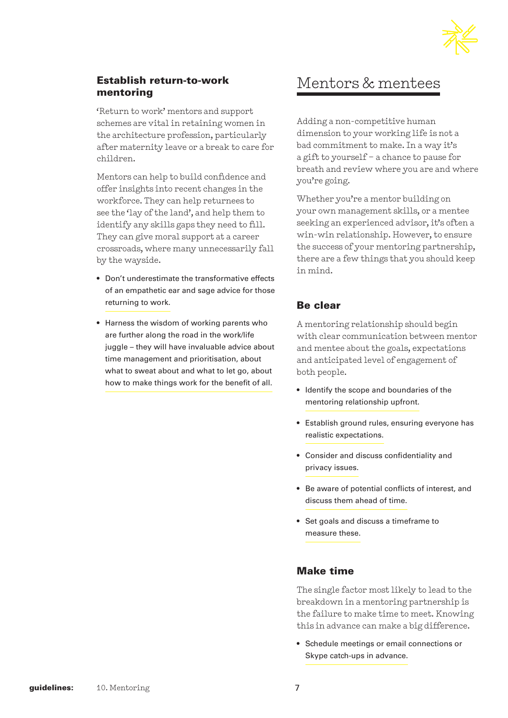

# Establish return-to-work mentoring

'Return to work' mentors and support schemes are vital in retaining women in the architecture profession, particularly after maternity leave or a break to care for children.

Mentors can help to build confidence and offer insights into recent changes in the workforce. They can help returnees to see the 'lay of the land', and help them to identify any skills gaps they need to fill. They can give moral support at a career crossroads, where many unnecessarily fall by the wayside.

- Don't underestimate the transformative effects of an empathetic ear and sage advice for those returning to work.
- Harness the wisdom of working parents who are further along the road in the work/life juggle – they will have invaluable advice about time management and prioritisation, about what to sweat about and what to let go, about how to make things work for the benefit of all.

# Mentors & mentees

Adding a non-competitive human dimension to your working life is not a bad commitment to make. In a way it's a gift to yourself – a chance to pause for breath and review where you are and where you're going.

Whether you're a mentor building on your own management skills, or a mentee seeking an experienced advisor, it's often a win-win relationship. However, to ensure the success of your mentoring partnership, there are a few things that you should keep in mind.

# Be clear

A mentoring relationship should begin with clear communication between mentor and mentee about the goals, expectations and anticipated level of engagement of both people.

- Identify the scope and boundaries of the mentoring relationship upfront.
- Establish ground rules, ensuring everyone has realistic expectations.
- Consider and discuss confidentiality and privacy issues.
- Be aware of potential conflicts of interest, and discuss them ahead of time.
- Set goals and discuss a timeframe to measure these.

# Make time

The single factor most likely to lead to the breakdown in a mentoring partnership is the failure to make time to meet. Knowing this in advance can make a big difference.

• Schedule meetings or email connections or Skype catch-ups in advance.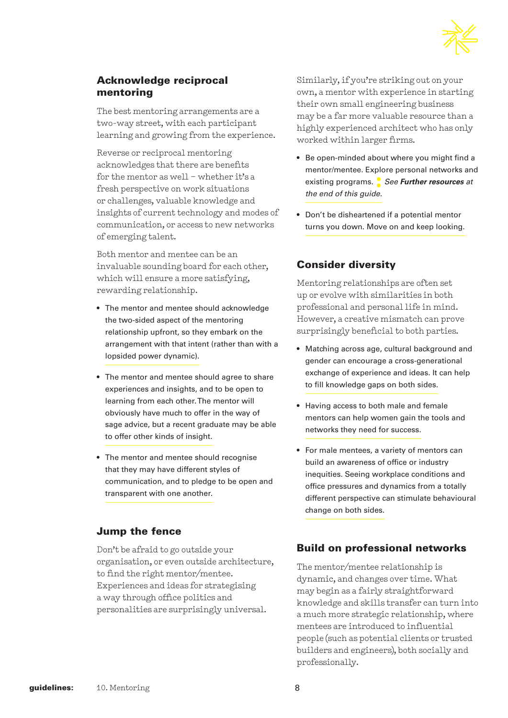

# Acknowledge reciprocal mentoring

The best mentoring arrangements are a two-way street, with each participant learning and growing from the experience.

Reverse or reciprocal mentoring acknowledges that there are benefits for the mentor as well – whether it's a fresh perspective on work situations or challenges, valuable knowledge and insights of current technology and modes of communication, or access to new networks of emerging talent.

Both mentor and mentee can be an invaluable sounding board for each other, which will ensure a more satisfying, rewarding relationship.

- The mentor and mentee should acknowledge the two-sided aspect of the mentoring relationship upfront, so they embark on the arrangement with that intent (rather than with a lopsided power dynamic).
- The mentor and mentee should agree to share experiences and insights, and to be open to learning from each other. The mentor will obviously have much to offer in the way of sage advice, but a recent graduate may be able to offer other kinds of insight.
- The mentor and mentee should recognise that they may have different styles of communication, and to pledge to be open and transparent with one another.

# Jump the fence

Don't be afraid to go outside your organisation, or even outside architecture, to find the right mentor/mentee. Experiences and ideas for strategising a way through office politics and personalities are surprisingly universal.

Similarly, if you're striking out on your own, a mentor with experience in starting their own small engineering business may be a far more valuable resource than a highly experienced architect who has only worked within larger firms.

- Be open-minded about where you might find a mentor/mentee. Explore personal networks and existing programs. **:** *See Further resources at the end of this guide.*
- Don't be disheartened if a potential mentor turns you down. Move on and keep looking.

# Consider diversity

Mentoring relationships are often set up or evolve with similarities in both professional and personal life in mind. However, a creative mismatch can prove surprisingly beneficial to both parties.

- Matching across age, cultural background and gender can encourage a cross-generational exchange of experience and ideas. It can help to fill knowledge gaps on both sides.
- Having access to both male and female mentors can help women gain the tools and networks they need for success.
- For male mentees, a variety of mentors can build an awareness of office or industry inequities. Seeing workplace conditions and office pressures and dynamics from a totally different perspective can stimulate behavioural change on both sides.

# Build on professional networks

The mentor/mentee relationship is dynamic, and changes over time. What may begin as a fairly straightforward knowledge and skills transfer can turn into a much more strategic relationship, where mentees are introduced to influential people (such as potential clients or trusted builders and engineers), both socially and professionally.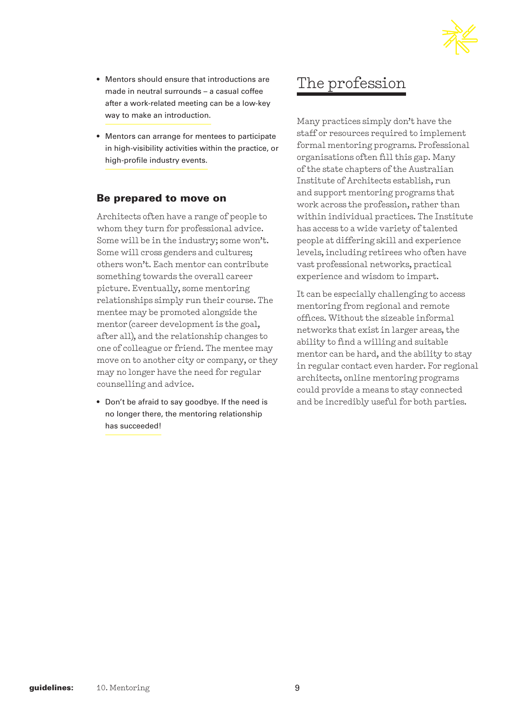

- Mentors should ensure that introductions are made in neutral surrounds – a casual coffee after a work-related meeting can be a low-key way to make an introduction.
- Mentors can arrange for mentees to participate in high-visibility activities within the practice, or high-profile industry events.

#### Be prepared to move on

Architects often have a range of people to whom they turn for professional advice. Some will be in the industry; some won't. Some will cross genders and cultures; others won't. Each mentor can contribute something towards the overall career picture. Eventually, some mentoring relationships simply run their course. The mentee may be promoted alongside the mentor (career development is the goal, after all), and the relationship changes to one of colleague or friend. The mentee may move on to another city or company, or they may no longer have the need for regular counselling and advice.

• Don't be afraid to say goodbye. If the need is no longer there, the mentoring relationship has succeeded!

# The profession

Many practices simply don't have the staff or resources required to implement formal mentoring programs. Professional organisations often fill this gap. Many of the state chapters of the Australian Institute of Architects establish, run and support mentoring programs that work across the profession, rather than within individual practices. The Institute has access to a wide variety of talented people at differing skill and experience levels, including retirees who often have vast professional networks, practical experience and wisdom to impart.

It can be especially challenging to access mentoring from regional and remote offices. Without the sizeable informal networks that exist in larger areas, the ability to find a willing and suitable mentor can be hard, and the ability to stay in regular contact even harder. For regional architects, online mentoring programs could provide a means to stay connected and be incredibly useful for both parties.